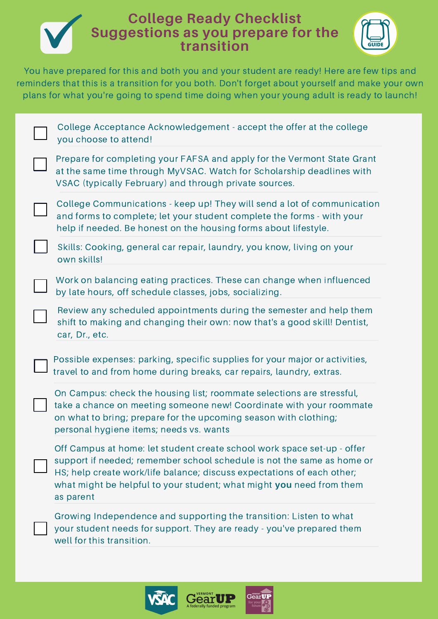## **College Ready Checklist Suggestions as you prepare for the transition**



You have prepared for this and both you and your student are ready! Here are few tips and reminders that this is a transition for you both. Don't forget about yourself and make your own plans for what you're going to spend time doing when your young adult is ready to launch!

| College Acceptance Acknowledgement - accept the offer at the college<br>you choose to attend!                                                                                                                                                                                                                    |
|------------------------------------------------------------------------------------------------------------------------------------------------------------------------------------------------------------------------------------------------------------------------------------------------------------------|
| Prepare for completing your FAFSA and apply for the Vermont State Grant<br>at the same time through MyVSAC. Watch for Scholarship deadlines with<br>VSAC (typically February) and through private sources.                                                                                                       |
| College Communications - keep up! They will send a lot of communication<br>and forms to complete; let your student complete the forms - with your<br>help if needed. Be honest on the housing forms about lifestyle.                                                                                             |
| Skills: Cooking, general car repair, laundry, you know, living on your<br>own skills!                                                                                                                                                                                                                            |
| Work on balancing eating practices. These can change when influenced<br>by late hours, off schedule classes, jobs, socializing.                                                                                                                                                                                  |
| Review any scheduled appointments during the semester and help them<br>shift to making and changing their own: now that's a good skill! Dentist,<br>car, Dr., etc.                                                                                                                                               |
| Possible expenses: parking, specific supplies for your major or activities,<br>travel to and from home during breaks, car repairs, laundry, extras.                                                                                                                                                              |
| On Campus: check the housing list; roommate selections are stressful,<br>take a chance on meeting someone new! Coordinate with your roommate<br>on what to bring; prepare for the upcoming season with clothing;<br>personal hygiene items; needs vs. wants                                                      |
| Off Campus at home: let student create school work space set-up - offer<br>support if needed; remember school schedule is not the same as home or<br>HS; help create work/life balance; discuss expectations of each other;<br>what might be helpful to your student; what might you need from them<br>as parent |
| Growing Independence and supporting the transition: Listen to what<br>your student needs for support. They are ready - you've prepared them                                                                                                                                                                      |